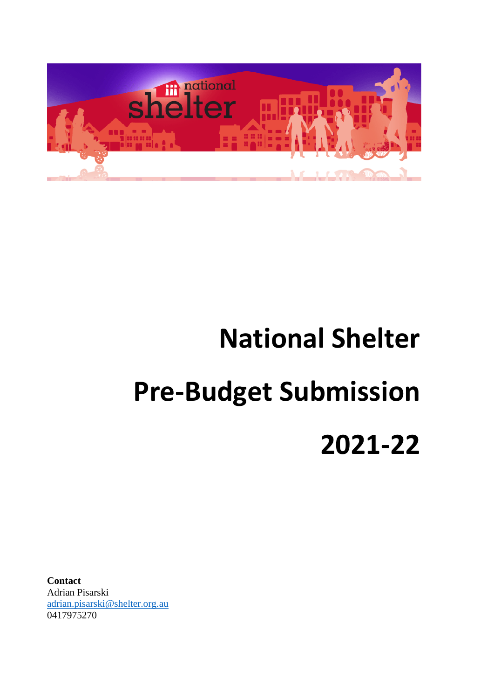

# **National Shelter Pre-Budget Submission 2021-22**

**Contact** Adrian Pisarski [adrian.pisarski@shelter.org.au](mailto:adrian.pisarski@shelter.org.au) 0417975270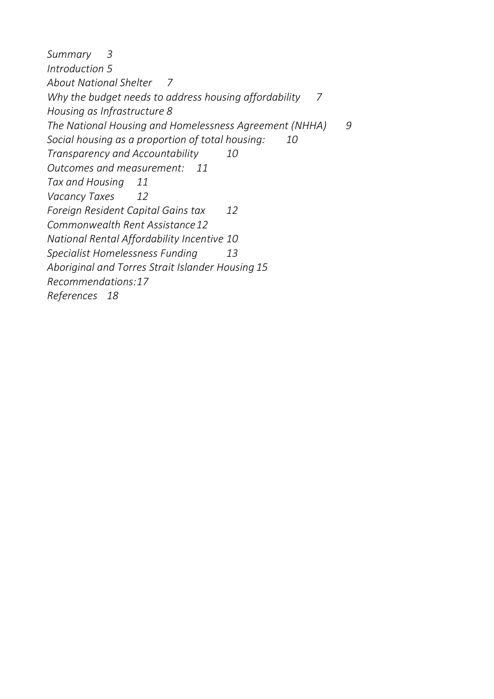<span id="page-1-0"></span>*[Summary](#page-1-0) 3 [Introduction](#page-4-0) 5 [About National Shelter](#page-6-0) 7 [Why the budget needs to address housing affordability](#page-6-1) 7 [Housing as Infrastructure](#page-7-0) 8 [The National Housing and Homelessness Agreement \(NHHA\)](#page-8-0) 9 [Social housing as a proportion of total housing:](#page-9-0) 10 [Transparency and Accountability](#page-9-1) 10 Outcomes and [measurement:](#page-10-0) 11 [Tax and Housing](#page-10-1) 11 [Vacancy Taxes](#page-11-0) 12 [Foreign Resident Capital Gains tax](#page-11-1) 12 [Commonwealth Rent Assistance12](#page-11-2) National Rental Affordability Incentive 10 [Specialist Homelessness Funding](#page-12-0) 13 [Aboriginal and Torres Strait Islander Housing](#page-14-0) 15 [Recommendations:17](#page-16-0) [References](#page-17-0) 18*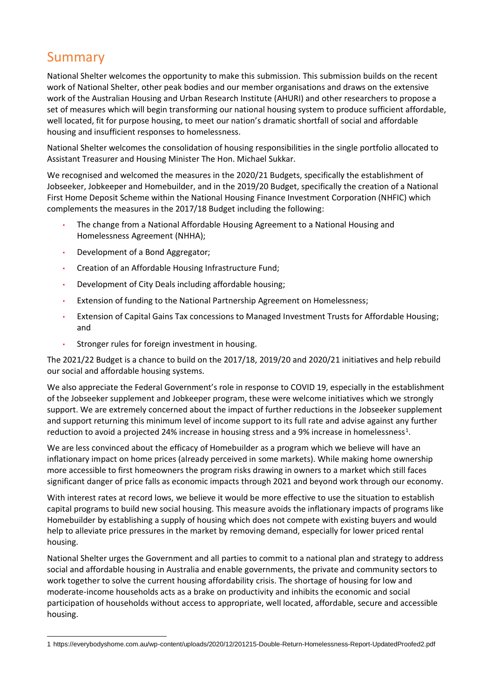## Summary

National Shelter welcomes the opportunity to make this submission. This submission builds on the recent work of National Shelter, other peak bodies and our member organisations and draws on the extensive work of the Australian Housing and Urban Research Institute (AHURI) and other researchers to propose a set of measures which will begin transforming our national housing system to produce sufficient affordable, well located, fit for purpose housing, to meet our nation's dramatic shortfall of social and affordable housing and insufficient responses to homelessness.

National Shelter welcomes the consolidation of housing responsibilities in the single portfolio allocated to Assistant Treasurer and Housing Minister The Hon. Michael Sukkar.

We recognised and welcomed the measures in the 2020/21 Budgets, specifically the establishment of Jobseeker, Jobkeeper and Homebuilder, and in the 2019/20 Budget, specifically the creation of a National First Home Deposit Scheme within the National Housing Finance Investment Corporation (NHFIC) which complements the measures in the 2017/18 Budget including the following:

- The change from a National Affordable Housing Agreement to a National Housing and Homelessness Agreement (NHHA);
- Development of a Bond Aggregator;
- Creation of an Affordable Housing Infrastructure Fund;
- Development of City Deals including affordable housing;
- Extension of funding to the National Partnership Agreement on Homelessness;
- Extension of Capital Gains Tax concessions to Managed Investment Trusts for Affordable Housing; and
- Stronger rules for foreign investment in housing.

The 2021/22 Budget is a chance to build on the 2017/18, 2019/20 and 2020/21 initiatives and help rebuild our social and affordable housing systems.

We also appreciate the Federal Government's role in response to COVID 19, especially in the establishment of the Jobseeker supplement and Jobkeeper program, these were welcome initiatives which we strongly support. We are extremely concerned about the impact of further reductions in the Jobseeker supplement and support returning this minimum level of income support to its full rate and advise against any further reduction to avoid a projected 24% increase in housing stress and a 9% increase in homelessness<sup>1</sup>.

We are less convinced about the efficacy of Homebuilder as a program which we believe will have an inflationary impact on home prices (already perceived in some markets). While making home ownership more accessible to first homeowners the program risks drawing in owners to a market which still faces significant danger of price falls as economic impacts through 2021 and beyond work through our economy.

With interest rates at record lows, we believe it would be more effective to use the situation to establish capital programs to build new social housing. This measure avoids the inflationary impacts of programs like Homebuilder by establishing a supply of housing which does not compete with existing buyers and would help to alleviate price pressures in the market by removing demand, especially for lower priced rental housing.

National Shelter urges the Government and all parties to commit to a national plan and strategy to address social and affordable housing in Australia and enable governments, the private and community sectors to work together to solve the current housing affordability crisis. The shortage of housing for low and moderate-income households acts as a brake on productivity and inhibits the economic and social participation of households without access to appropriate, well located, affordable, secure and accessible housing.

<sup>1</sup> https://everybodyshome.com.au/wp-content/uploads/2020/12/201215-Double-Return-Homelessness-Report-UpdatedProofed2.pdf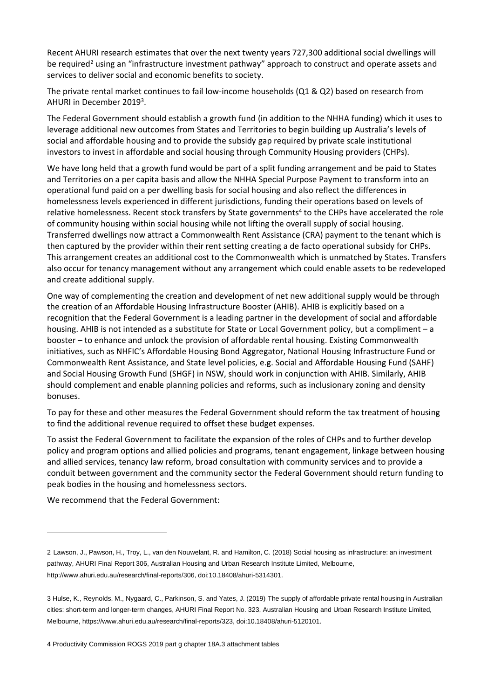Recent AHURI research estimates that over the next twenty years 727,300 additional social dwellings will be required<sup>2</sup> using an "infrastructure investment pathway" approach to construct and operate assets and services to deliver social and economic benefits to society.

The private rental market continues to fail low-income households (Q1 & Q2) based on research from AHURI in December 2019<sup>3</sup>.

The Federal Government should establish a growth fund (in addition to the NHHA funding) which it uses to leverage additional new outcomes from States and Territories to begin building up Australia's levels of social and affordable housing and to provide the subsidy gap required by private scale institutional investors to invest in affordable and social housing through Community Housing providers (CHPs).

We have long held that a growth fund would be part of a split funding arrangement and be paid to States and Territories on a per capita basis and allow the NHHA Special Purpose Payment to transform into an operational fund paid on a per dwelling basis for social housing and also reflect the differences in homelessness levels experienced in different jurisdictions, funding their operations based on levels of relative homelessness. Recent stock transfers by State governments<sup>4</sup> to the CHPs have accelerated the role of community housing within social housing while not lifting the overall supply of social housing. Transferred dwellings now attract a Commonwealth Rent Assistance (CRA) payment to the tenant which is then captured by the provider within their rent setting creating a de facto operational subsidy for CHPs. This arrangement creates an additional cost to the Commonwealth which is unmatched by States. Transfers also occur for tenancy management without any arrangement which could enable assets to be redeveloped and create additional supply.

One way of complementing the creation and development of net new additional supply would be through the creation of an Affordable Housing Infrastructure Booster (AHIB). AHIB is explicitly based on a recognition that the Federal Government is a leading partner in the development of social and affordable housing. AHIB is not intended as a substitute for State or Local Government policy, but a compliment – a booster – to enhance and unlock the provision of affordable rental housing. Existing Commonwealth initiatives, such as NHFIC's Affordable Housing Bond Aggregator, National Housing Infrastructure Fund or Commonwealth Rent Assistance, and State level policies, e.g. Social and Affordable Housing Fund (SAHF) and Social Housing Growth Fund (SHGF) in NSW, should work in conjunction with AHIB. Similarly, AHIB should complement and enable planning policies and reforms, such as inclusionary zoning and density bonuses.

To pay for these and other measures the Federal Government should reform the tax treatment of housing to find the additional revenue required to offset these budget expenses.

To assist the Federal Government to facilitate the expansion of the roles of CHPs and to further develop policy and program options and allied policies and programs, tenant engagement, linkage between housing and allied services, tenancy law reform, broad consultation with community services and to provide a conduit between government and the community sector the Federal Government should return funding to peak bodies in the housing and homelessness sectors.

We recommend that the Federal Government:

<sup>2</sup> Lawson, J., Pawson, H., Troy, L., van den Nouwelant, R. and Hamilton, C. (2018) Social housing as infrastructure: an investment pathway, AHURI Final Report 306, Australian Housing and Urban Research Institute Limited, Melbourne, http://www.ahuri.edu.au/research/final-reports/306, doi:10.18408/ahuri-5314301.

<sup>3</sup> Hulse, K., Reynolds, M., Nygaard, C., Parkinson, S. and Yates, J. (2019) The supply of affordable private rental housing in Australian cities: short-term and longer-term changes, AHURI Final Report No. 323, Australian Housing and Urban Research Institute Limited, Melbourne, https://www.ahuri.edu.au/research/final-reports/323, doi:10.18408/ahuri-5120101.

<sup>4</sup> Productivity Commission ROGS 2019 part g chapter 18A.3 attachment tables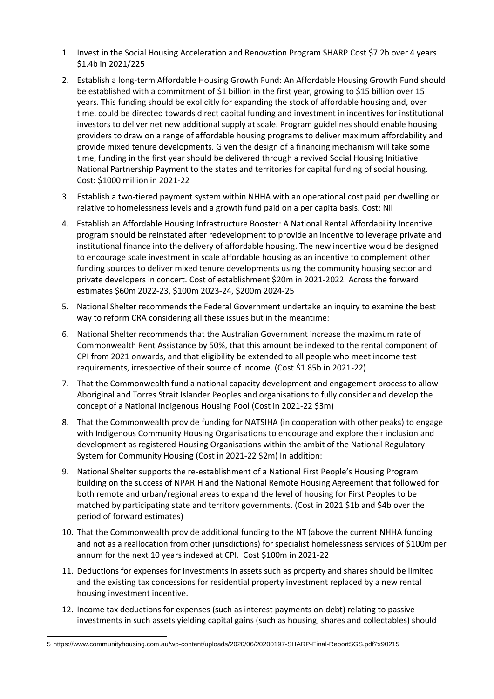- <span id="page-4-0"></span>1. Invest in the Social Housing Acceleration and Renovation Program SHARP Cost \$7.2b over 4 years \$1.4b in 2021/225
- 2. Establish a long-term Affordable Housing Growth Fund: An Affordable Housing Growth Fund should be established with a commitment of \$1 billion in the first year, growing to \$15 billion over 15 years. This funding should be explicitly for expanding the stock of affordable housing and, over time, could be directed towards direct capital funding and investment in incentives for institutional investors to deliver net new additional supply at scale. Program guidelines should enable housing providers to draw on a range of affordable housing programs to deliver maximum affordability and provide mixed tenure developments. Given the design of a financing mechanism will take some time, funding in the first year should be delivered through a revived Social Housing Initiative National Partnership Payment to the states and territories for capital funding of social housing. Cost: \$1000 million in 2021-22
- 3. Establish a two-tiered payment system within NHHA with an operational cost paid per dwelling or relative to homelessness levels and a growth fund paid on a per capita basis. Cost: Nil
- 4. Establish an Affordable Housing Infrastructure Booster: A National Rental Affordability Incentive program should be reinstated after redevelopment to provide an incentive to leverage private and institutional finance into the delivery of affordable housing. The new incentive would be designed to encourage scale investment in scale affordable housing as an incentive to complement other funding sources to deliver mixed tenure developments using the community housing sector and private developers in concert. Cost of establishment \$20m in 2021-2022. Across the forward estimates \$60m 2022-23, \$100m 2023-24, \$200m 2024-25
- 5. National Shelter recommends the Federal Government undertake an inquiry to examine the best way to reform CRA considering all these issues but in the meantime:
- 6. National Shelter recommends that the Australian Government increase the maximum rate of Commonwealth Rent Assistance by 50%, that this amount be indexed to the rental component of CPI from 2021 onwards, and that eligibility be extended to all people who meet income test requirements, irrespective of their source of income. (Cost \$1.85b in 2021-22)
- 7. That the Commonwealth fund a national capacity development and engagement process to allow Aboriginal and Torres Strait Islander Peoples and organisations to fully consider and develop the concept of a National Indigenous Housing Pool (Cost in 2021-22 \$3m)
- 8. That the Commonwealth provide funding for NATSIHA (in cooperation with other peaks) to engage with Indigenous Community Housing Organisations to encourage and explore their inclusion and development as registered Housing Organisations within the ambit of the National Regulatory System for Community Housing (Cost in 2021-22 \$2m) In addition:
- 9. National Shelter supports the re-establishment of a National First People's Housing Program building on the success of NPARIH and the National Remote Housing Agreement that followed for both remote and urban/regional areas to expand the level of housing for First Peoples to be matched by participating state and territory governments. (Cost in 2021 \$1b and \$4b over the period of forward estimates)
- 10. That the Commonwealth provide additional funding to the NT (above the current NHHA funding and not as a reallocation from other jurisdictions) for specialist homelessness services of \$100m per annum for the next 10 years indexed at CPI. Cost \$100m in 2021-22
- 11. Deductions for expenses for investments in assets such as property and shares should be limited and the existing tax concessions for residential property investment replaced by a new rental housing investment incentive.
- 12. Income tax deductions for expenses (such as interest payments on debt) relating to passive investments in such assets yielding capital gains (such as housing, shares and collectables) should

<sup>5</sup> https://www.communityhousing.com.au/wp-content/uploads/2020/06/20200197-SHARP-Final-ReportSGS.pdf?x90215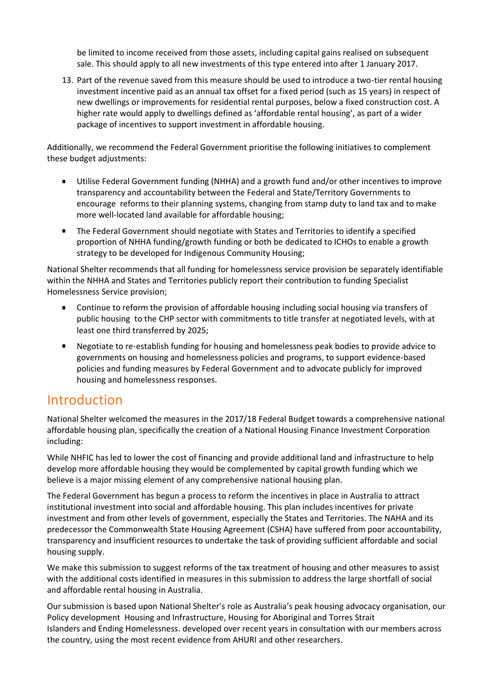be limited to income received from those assets, including capital gains realised on subsequent sale. This should apply to all new investments of this type entered into after 1 January 2017.

13. Part of the revenue saved from this measure should be used to introduce a two-tier rental housing investment incentive paid as an annual tax offset for a fixed period (such as 15 years) in respect of new dwellings or improvements for residential rental purposes, below a fixed construction cost. A higher rate would apply to dwellings defined as 'affordable rental housing', as part of a wider package of incentives to support investment in affordable housing.

Additionally, we recommend the Federal Government prioritise the following initiatives to complement these budget adjustments:

- $\mathbf{r}$ Utilise Federal Government funding (NHHA) and a growth fund and/or other incentives to improve transparency and accountability between the Federal and State/Territory Governments to encourage reforms to their planning systems, changing from stamp duty to land tax and to make more well-located land available for affordable housing;
- The Federal Government should negotiate with States and Territories to identify a specified proportion of NHHA funding/growth funding or both be dedicated to ICHOs to enable a growth strategy to be developed for Indigenous Community Housing;

National Shelter recommends that all funding for homelessness service provision be separately identifiable within the NHHA and States and Territories publicly report their contribution to funding Specialist Homelessness Service provision;

- Continue to reform the provision of affordable housing including social housing via transfers of public housing to the CHP sector with commitments to title transfer at negotiated levels, with at least one third transferred by 2025;
- $\mathbf{E}^{(1)}$ Negotiate to re-establish funding for housing and homelessness peak bodies to provide advice to governments on housing and homelessness policies and programs, to support evidence-based policies and funding measures by Federal Government and to advocate publicly for improved housing and homelessness responses.

## Introduction

National Shelter welcomed the measures in the 2017/18 Federal Budget towards a comprehensive national affordable housing plan, specifically the creation of a National Housing Finance Investment Corporation including:

While NHFIC has led to lower the cost of financing and provide additional land and infrastructure to help develop more affordable housing they would be complemented by capital growth funding which we believe is a major missing element of any comprehensive national housing plan.

The Federal Government has begun a process to reform the incentives in place in Australia to attract institutional investment into social and affordable housing. This plan includes incentives for private investment and from other levels of government, especially the States and Territories. The NAHA and its predecessor the Commonwealth State Housing Agreement (CSHA) have suffered from poor accountability, transparency and insufficient resources to undertake the task of providing sufficient affordable and social housing supply.

We make this submission to suggest reforms of the tax treatment of housing and other measures to assist with the additional costs identified in measures in this submission to address the large shortfall of social and affordable rental housing in Australia.

Our submission is based upon National Shelter's role as Australia's peak housing advocacy organisation, our Policy development [Housing and Infrastructure](https://www.shelter.org.au/sites/natshelter/files/public/documents/National%20Shelter%20Policy%20Platform%20amended%20and%20approved%20220318.pdf)[,](https://www.shelter.org.au/sites/natshelter/files/public/documents/2018%20Policy%20Platform%20ATSI%20as%20approved%20220318.pdf) [Housing for Aboriginal and Torres Strait](https://www.shelter.org.au/sites/natshelter/files/public/documents/2018%20Policy%20Platform%20ATSI%20as%20approved%20220318_0.pdf)  [Islanders](https://www.shelter.org.au/sites/natshelter/files/public/documents/2018%20Policy%20Platform%20ATSI%20as%20approved%20220318_0.pdf) and [Ending Homelessness.](https://www.shelter.org.au/sites/natshelter/files/public/documents/2018%20Policy%20Platform%20Homelessness%20as%20amended%20and%20approved%20220318.pdf) developed over recent years in consultation with our members across the country, using the most recent evidence from AHURI and other researchers.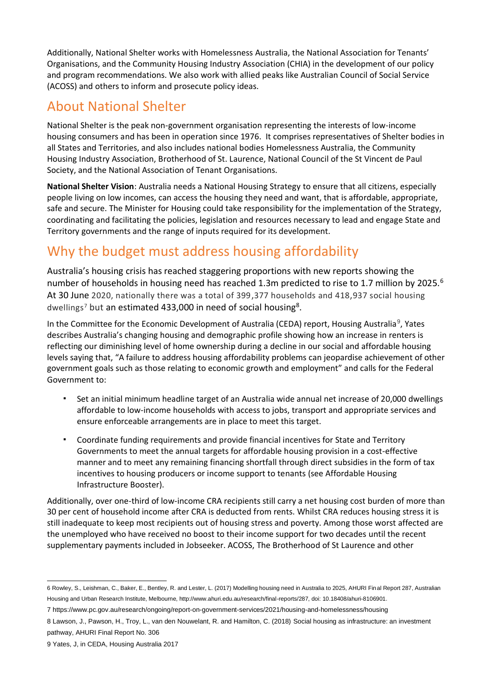Additionally, National Shelter works with Homelessness Australia, the National Association for Tenants' Organisations, and the Community Housing Industry Association (CHIA) in the development of our policy and program recommendations. We also work with allied peaks like Australian Council of Social Service (ACOSS) and others to inform and prosecute policy ideas.

# <span id="page-6-0"></span>About National Shelter

National Shelter is the peak non-government organisation representing the interests of low-income housing consumers and has been in operation since 1976. It comprises representatives of Shelter bodies in all States and Territories, and also includes national bodies Homelessness Australia, the Community Housing Industry Association, Brotherhood of St. Laurence, National Council of the St Vincent de Paul Society, and the National Association of Tenant Organisations.

**National Shelter Vision**: Australia needs a National Housing Strategy to ensure that all citizens, especially people living on low incomes, can access the housing they need and want, that is affordable, appropriate, safe and secure. The Minister for Housing could take responsibility for the implementation of the Strategy, coordinating and facilitating the policies, legislation and resources necessary to lead and engage State and Territory governments and the range of inputs required for its development.

# <span id="page-6-1"></span>Why the budget must address housing affordability

Australia's housing crisis has reached staggering proportions with new reports showing the number of households in housing need has reached 1.3m predicted to rise to 1.7 million by 2025.<sup>6</sup> At 30 June 2020, nationally there was a total of 399,377 households and 418,937 social housing dwellings<sup>7</sup> but an estimated 433,000 in need of social housing<sup>8</sup>.

In the Committee for the Economic Development of Australia (CEDA) report, Housing Australia<sup>9</sup>, Yates describes Australia's changing housing and demographic profile showing how an increase in renters is reflecting our diminishing level of home ownership during a decline in our social and affordable housing levels saying that, "A failure to address housing affordability problems can jeopardise achievement of other government goals such as those relating to economic growth and employment" and calls for the Federal Government to:

- Set an initial minimum headline target of an Australia wide annual net increase of 20,000 dwellings affordable to low-income households with access to jobs, transport and appropriate services and ensure enforceable arrangements are in place to meet this target.
- Coordinate funding requirements and provide financial incentives for State and Territory Governments to meet the annual targets for affordable housing provision in a cost-effective manner and to meet any remaining financing shortfall through direct subsidies in the form of tax incentives to housing producers or income support to tenants (see Affordable Housing Infrastructure Booster).

Additionally, over one-third of low-income CRA recipients still carry a net housing cost burden of more than 30 per cent of household income after CRA is deducted from rents. Whilst CRA reduces housing stress it is still inadequate to keep most recipients out of housing stress and poverty. Among those worst affected are the unemployed who have received no boost to their income support for two decades until the recent supplementary payments included in Jobseeker. ACOSS, The Brotherhood of St Laurence and other

<sup>6</sup> Rowley, S., Leishman, C., Baker, E., Bentley, R. and Lester, L. (2017) Modelling housing need in Australia to 2025, AHURI Final Report 287, Australian Housing and Urban Research Institute, Melbourne, http://www.ahuri.edu.au/research/final-reports/287, doi: 10.18408/ahuri-8106901.

<sup>7</sup> https://www.pc.gov.au/research/ongoing/report-on-government-services/2021/housing-and-homelessness/housing

<sup>8</sup> [Lawson, J., Pawson, H., Troy, L., van den Nouwelant, R. and Hamilton, C. \(2018\)](https://www.ahuri.edu.au/research/final-reports/306) Social housing as infrastructure: an investment [pathway, AHURI Final Report No. 306](https://www.ahuri.edu.au/research/final-reports/306)

<sup>9</sup> Yates, J, in CEDA, Housing Australia 2017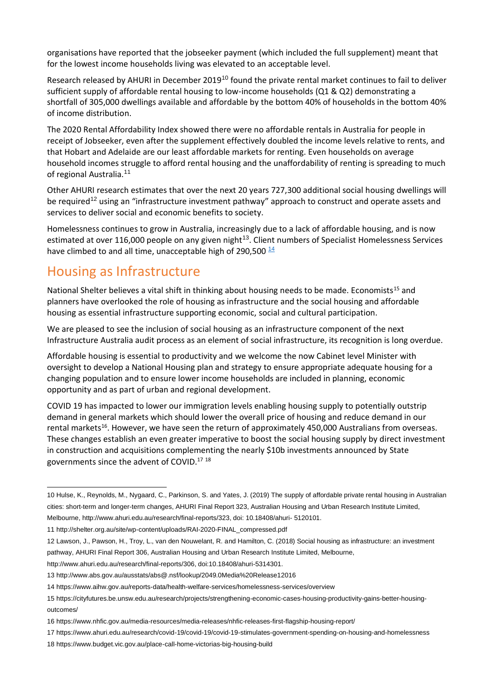organisations have reported that the jobseeker payment (which included the full supplement) meant that for the lowest income households living was elevated to an acceptable level.

Research released by AHURI in December 2019<sup>10</sup> found the private rental market continues to fail to deliver sufficient supply of affordable rental housing to low-income households (Q1 & Q2) demonstrating a shortfall of 305,000 dwellings available and affordable by the bottom 40% of households in the bottom 40% of income distribution.

The 2020 Rental Affordability Index showed there were no affordable rentals in Australia for people in receipt of Jobseeker, even after the supplement effectively doubled the income levels relative to rents, and that Hobart and Adelaide are our least affordable markets for renting. Even households on average household incomes struggle to afford rental housing and the unaffordability of renting is spreading to much of regional Australia.<sup>11</sup>

Other AHURI research estimates that over the next 20 years 727,300 additional social housing dwellings will be required<sup>12</sup> using an "infrastructure investment pathway" approach to construct and operate assets and services to deliver social and economic benefits to society.

Homelessness continues to grow in Australia, increasingly due to a lack of affordable housing, and is now estimated at over 116,000 people on any given night<sup>13</sup>. Client numbers of Specialist Homelessness Services have climbed to and all time, unacceptable high of 290,500 $\frac{14}{3}$  $\frac{14}{3}$  $\frac{14}{3}$ 

## <span id="page-7-0"></span>Housing as Infrastructure

National Shelter believes a vital shift in thinking about housing needs to be made. Economists<sup>15</sup> and planners have overlooked the role of housing as infrastructure and the social housing and affordable housing as essential infrastructure supporting economic, social and cultural participation.

We are pleased to see the inclusion of social housing as an infrastructure component of the next Infrastructure Australia audit process as an element of social infrastructure, its recognition is long overdue.

Affordable housing is essential to productivity and we welcome the now Cabinet level Minister with oversight to develop a National Housing plan and strategy to ensure appropriate adequate housing for a changing population and to ensure lower income households are included in planning, economic opportunity and as part of urban and regional development.

COVID 19 has impacted to lower our immigration levels enabling housing supply to potentially outstrip demand in general markets which should lower the overall price of housing and reduce demand in our rental markets<sup>16</sup>. However, we have seen the return of approximately 450,000 Australians from overseas. These changes establish an even greater imperative to boost the social housing supply by direct investment in construction and acquisitions complementing the nearly \$10b investments announced by State governments since the advent of COVID.<sup>17</sup> <sup>18</sup>

<sup>10</sup> Hulse, K., Reynolds, M., Nygaard, C., Parkinson, S. and Yates, J. (2019) The supply of affordable private rental housing in Australian cities: short-term and longer-term changes, AHURI Final Report 323, Australian Housing and Urban Research Institute Limited, Melbourne, http://www.ahuri.edu.au/research/final-reports/323, doi: 10.18408/ahuri- 5120101.

<sup>11</sup> http://shelter.org.au/site/wp-content/uploads/RAI-2020-FINAL\_compressed.pdf

<sup>12</sup> Lawson, J., Pawson, H., Troy, L., van den Nouwelant, R. and Hamilton, C. (2018) Social housing as infrastructure: an investment pathway, AHURI Final Report 306, Australian Housing and Urban Research Institute Limited, Melbourne,

http://www.ahuri.edu.au/research/final-reports/306, doi:10.18408/ahuri-5314301.

<sup>13</sup> http://www.abs.gov.au/ausstats/abs@.nsf/lookup/2049.0Media%20Release12016

<sup>14</sup> https://www.aihw.gov.au/reports-data/health-welfare-services/homelessness-services/overview

<sup>15</sup> https://cityfutures.be.unsw.edu.au/research/projects/strengthening-economic-cases-housing-productivity-gains-better-housingoutcomes/

<sup>16</sup> https://www.nhfic.gov.au/media-resources/media-releases/nhfic-releases-first-flagship-housing-report/

<sup>17</sup> https://www.ahuri.edu.au/research/covid-19/covid-19/covid-19-stimulates-government-spending-on-housing-and-homelessness

<sup>18</sup> https://www.budget.vic.gov.au/place-call-home-victorias-big-housing-build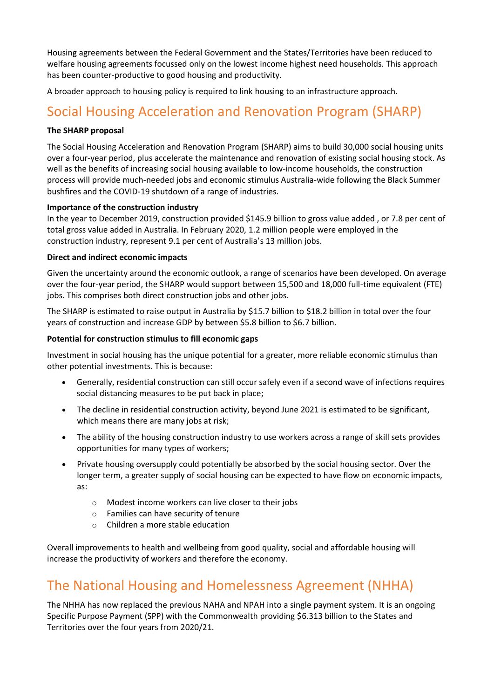Housing agreements between the Federal Government and the States/Territories have been reduced to welfare housing agreements focussed only on the lowest income highest need households. This approach has been counter-productive to good housing and productivity.

A broader approach to housing policy is required to link housing to an infrastructure approach.

# <span id="page-8-0"></span>Social Housing Acceleration and Renovation Program (SHARP)

#### **The SHARP proposal**

The Social Housing Acceleration and Renovation Program (SHARP) aims to build 30,000 social housing units over a four-year period, plus accelerate the maintenance and renovation of existing social housing stock. As well as the benefits of increasing social housing available to low-income households, the construction process will provide much-needed jobs and economic stimulus Australia-wide following the Black Summer bushfires and the COVID-19 shutdown of a range of industries.

#### **Importance of the construction industry**

In the year to December 2019, construction provided \$145.9 billion to gross value added , or 7.8 per cent of total gross value added in Australia. In February 2020, 1.2 million people were employed in the construction industry, represent 9.1 per cent of Australia's 13 million jobs.

#### **Direct and indirect economic impacts**

Given the uncertainty around the economic outlook, a range of scenarios have been developed. On average over the four-year period, the SHARP would support between 15,500 and 18,000 full-time equivalent (FTE) jobs. This comprises both direct construction jobs and other jobs.

The SHARP is estimated to raise output in Australia by \$15.7 billion to \$18.2 billion in total over the four years of construction and increase GDP by between \$5.8 billion to \$6.7 billion.

#### **Potential for construction stimulus to fill economic gaps**

Investment in social housing has the unique potential for a greater, more reliable economic stimulus than other potential investments. This is because:

- Generally, residential construction can still occur safely even if a second wave of infections requires social distancing measures to be put back in place;
- The decline in residential construction activity, beyond June 2021 is estimated to be significant, which means there are many jobs at risk;
- The ability of the housing construction industry to use workers across a range of skill sets provides opportunities for many types of workers;
- Private housing oversupply could potentially be absorbed by the social housing sector. Over the longer term, a greater supply of social housing can be expected to have flow on economic impacts, as:
	- o Modest income workers can live closer to their jobs
	- o Families can have security of tenure
	- o Children a more stable education

Overall improvements to health and wellbeing from good quality, social and affordable housing will increase the productivity of workers and therefore the economy.

## The National Housing and Homelessness Agreement (NHHA)

The NHHA has now replaced the previous NAHA and NPAH into a single payment system. It is an ongoing Specific Purpose Payment (SPP) with the Commonwealth providing \$6.313 billion to the States and Territories over the four years from 2020/21.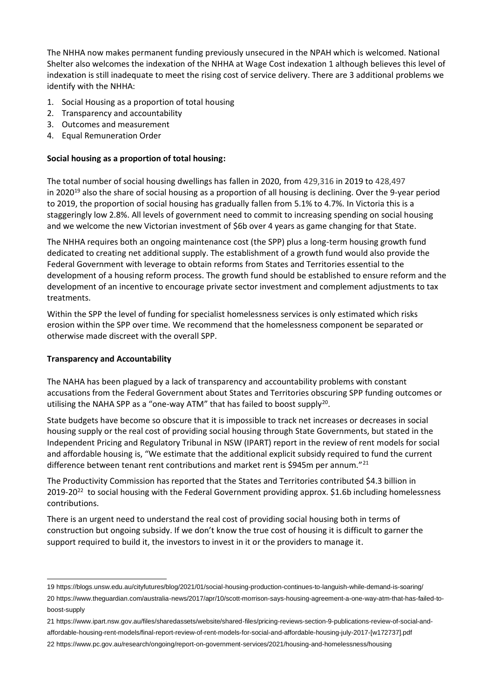The NHHA now makes permanent funding previously unsecured in the NPAH which is welcomed. National Shelter also welcomes the indexation of the NHHA at Wage Cost indexation 1 although believes this level of indexation is still inadequate to meet the rising cost of service delivery. There are 3 additional problems we identify with the NHHA:

- 1. Social Housing as a proportion of total housing
- 2. Transparency and accountability
- 3. Outcomes and measurement
- <span id="page-9-0"></span>4. Equal Remuneration Order

#### **Social housing as a proportion of total housing:**

The total number of social housing dwellings has fallen in 2020, from 429,316 in 2019 to 428,497 in 2020 <sup>19</sup> also the share of social housing as a proportion of all housing is declining. Over the 9-year period to 2019, the proportion of social housing has gradually fallen from 5.1% to 4.7%. In Victoria this is a staggeringly low 2.8%. All levels of government need to commit to increasing spending on social housing and we welcome the new Victorian investment of \$6b over 4 years as game changing for that State.

The NHHA requires both an ongoing maintenance cost (the SPP) plus a long-term housing growth fund dedicated to creating net additional supply. The establishment of a growth fund would also provide the Federal Government with leverage to obtain reforms from States and Territories essential to the development of a housing reform process. The growth fund should be established to ensure reform and the development of an incentive to encourage private sector investment and complement adjustments to tax treatments.

Within the SPP the level of funding for specialist homelessness services is only estimated which risks erosion within the SPP over time. We recommend that the homelessness component be separated or otherwise made discreet with the overall SPP.

#### <span id="page-9-1"></span>**Transparency and Accountability**

The NAHA has been plagued by a lack of transparency and accountability problems with constant accusations from the Federal Government about States and Territories obscuring SPP funding outcomes or utilising the NAHA SPP as a "one-way ATM" that has failed to boost supply<sup>20</sup>.

State budgets have become so obscure that it is impossible to track net increases or decreases in social housing supply or the real cost of providing social housing through State Governments, but stated in the Independent Pricing and Regulatory Tribunal in NSW (IPART) report in the review of rent models for social and affordable housing is, "We estimate that the additional explicit subsidy required to fund the current difference between tenant rent contributions and market rent is \$945m per annum."<sup>21</sup>

The Productivity Commission has reported that the States and Territories contributed \$4.3 billion in  $2019-20^{22}$  to social housing with the Federal Government providing approx. \$1.6b including homelessness contributions.

There is an urgent need to understand the real cost of providing social housing both in terms of construction but ongoing subsidy. If we don't know the true cost of housing it is difficult to garner the support required to build it, the investors to invest in it or the providers to manage it.

<sup>19</sup> https://blogs.unsw.edu.au/cityfutures/blog/2021/01/social-housing-production-continues-to-languish-while-demand-is-soaring/ 20 https://www.theguardian.com/australia-news/2017/apr/10/scott-morrison-says-housing-agreement-a-one-way-atm-that-has-failed-toboost-supply

<sup>21</sup> https://www.ipart.nsw.gov.au/files/sharedassets/website/shared-files/pricing-reviews-section-9-publications-review-of-social-andaffordable-housing-rent-models/final-report-review-of-rent-models-for-social-and-affordable-housing-july-2017-[w172737].pdf 22 https://www.pc.gov.au/research/ongoing/report-on-government-services/2021/housing-and-homelessness/housing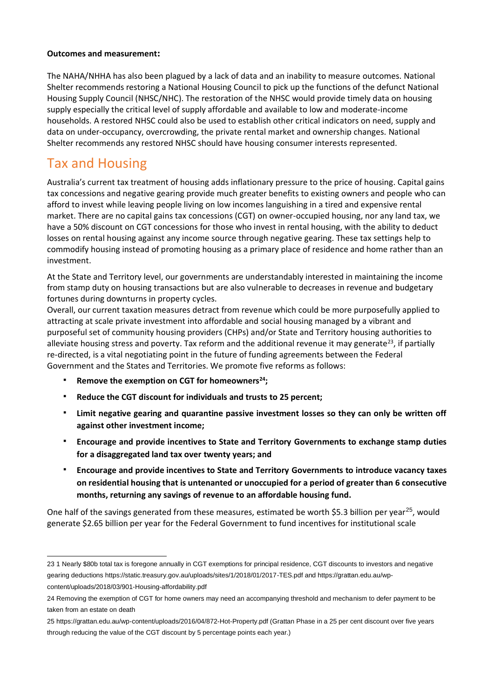#### <span id="page-10-0"></span>**Outcomes and measurement:**

The NAHA/NHHA has also been plagued by a lack of data and an inability to measure outcomes. National Shelter recommends restoring a National Housing Council to pick up the functions of the defunct National Housing Supply Council (NHSC/NHC). The restoration of the NHSC would provide timely data on housing supply especially the critical level of supply affordable and available to low and moderate-income households. A restored NHSC could also be used to establish other critical indicators on need, supply and data on under-occupancy, overcrowding, the private rental market and ownership changes. National Shelter recommends any restored NHSC should have housing consumer interests represented.

# <span id="page-10-1"></span>Tax and Housing

Australia's current tax treatment of housing adds inflationary pressure to the price of housing. Capital gains tax concessions and negative gearing provide much greater benefits to existing owners and people who can afford to invest while leaving people living on low incomes languishing in a tired and expensive rental market. There are no capital gains tax concessions (CGT) on owner-occupied housing, nor any land tax, we have a 50% discount on CGT concessions for those who invest in rental housing, with the ability to deduct losses on rental housing against any income source through negative gearing. These tax settings help to commodify housing instead of promoting housing as a primary place of residence and home rather than an investment.

At the State and Territory level, our governments are understandably interested in maintaining the income from stamp duty on housing transactions but are also vulnerable to decreases in revenue and budgetary fortunes during downturns in property cycles.

Overall, our current taxation measures detract from revenue which could be more purposefully applied to attracting at scale private investment into affordable and social housing managed by a vibrant and purposeful set of community housing providers (CHPs) and/or State and Territory housing authorities to alleviate housing stress and poverty. Tax reform and the additional revenue it may generate<sup>23</sup>, if partially re-directed, is a vital negotiating point in the future of funding agreements between the Federal Government and the States and Territories. We promote five reforms as follows:

- **Remove the exemption on CGT for homeowners<sup>24</sup>;**
- **Reduce the CGT discount for individuals and trusts to 25 percent;**
- Limit negative gearing and quarantine passive investment losses so they can only be written off **against other investment income;**
- **Encourage and provide incentives to State and Territory Governments to exchange stamp duties for a disaggregated land tax over twenty years; and**
- **Encourage and provide incentives to State and Territory Governments to introduce vacancy taxes on residential housing that is untenanted or unoccupied for a period of greater than 6 consecutive months, returning any savings of revenue to an affordable housing fund.**

One half of the savings generated from these measures, estimated be worth \$5.3 billion per year<sup>25</sup>, would generate \$2.65 billion per year for the Federal Government to fund incentives for institutional scale

<sup>23</sup> 1 Nearly \$80b total tax is foregone annually in CGT exemptions for principal residence, CGT discounts to investors and negative gearing deductions https://static.treasury.gov.au/uploads/sites/1/2018/01/2017-TES.pdf and https://grattan.edu.au/wpcontent/uploads/2018/03/901-Housing-affordability.pdf

<sup>24</sup> Removing the exemption of CGT for home owners may need an accompanying threshold and mechanism to defer payment to be taken from an estate on death

<sup>25</sup> https://grattan.edu.au/wp-content/uploads/2016/04/872-Hot-Property.pdf (Grattan Phase in a 25 per cent discount over five years through reducing the value of the CGT discount by 5 percentage points each year.)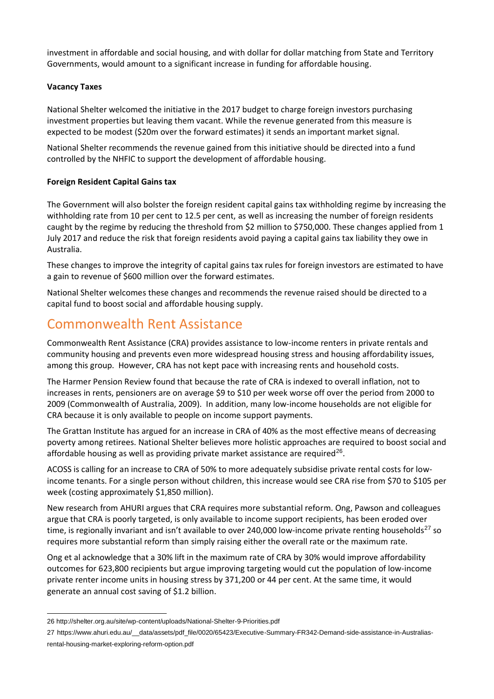investment in affordable and social housing, and with dollar for dollar matching from State and Territory Governments, would amount to a significant increase in funding for affordable housing.

#### <span id="page-11-0"></span>**Vacancy Taxes**

National Shelter welcomed the initiative in the 2017 budget to charge foreign investors purchasing investment properties but leaving them vacant. While the revenue generated from this measure is expected to be modest (\$20m over the forward estimates) it sends an important market signal.

National Shelter recommends the revenue gained from this initiative should be directed into a fund controlled by the NHFIC to support the development of affordable housing.

#### <span id="page-11-1"></span>**Foreign Resident Capital Gains tax**

The Government will also bolster the foreign resident capital gains tax withholding regime by increasing the withholding rate from 10 per cent to 12.5 per cent, as well as increasing the number of foreign residents caught by the regime by reducing the threshold from \$2 million to \$750,000. These changes applied from 1 July 2017 and reduce the risk that foreign residents avoid paying a capital gains tax liability they owe in Australia.

These changes to improve the integrity of capital gains tax rules for foreign investors are estimated to have a gain to revenue of \$600 million over the forward estimates.

National Shelter welcomes these changes and recommends the revenue raised should be directed to a capital fund to boost social and affordable housing supply.

## <span id="page-11-2"></span>Commonwealth Rent Assistance

Commonwealth Rent Assistance (CRA) provides assistance to low-income renters in private rentals and community housing and prevents even more widespread housing stress and housing affordability issues, among this group. However, CRA has not kept pace with increasing rents and household costs.

The Harmer Pension Review found that because the rate of CRA is indexed to overall inflation, not to increases in rents, pensioners are on average \$9 to \$10 per week worse off over the period from 2000 to 2009 (Commonwealth of Australia, 2009). In addition, many low-income households are not eligible for CRA because it is only available to people on income support payments.

The Grattan Institute has argued for an increase in CRA of 40% as the most effective means of decreasing poverty among retirees. National Shelter believes more holistic approaches are required to boost social and affordable housing as well as providing private market assistance are required<sup>26</sup>.

ACOSS is calling for an increase to CRA of 50% to more adequately subsidise private rental costs for lowincome tenants. For a single person without children, this increase would see CRA rise from \$70 to \$105 per week (costing approximately \$1,850 million).

New research from AHURI argues that CRA requires more substantial reform. Ong, Pawson and colleagues argue that CRA is poorly targeted, is only available to income support recipients, has been eroded over time, is regionally invariant and isn't available to over 240,000 low-income private renting households<sup>27</sup> so requires more substantial reform than simply raising either the overall rate or the maximum rate.

Ong et al acknowledge that a 30% lift in the maximum rate of CRA by 30% would improve affordability outcomes for 623,800 recipients but argue improving targeting would cut the population of low-income private renter income units in housing stress by 371,200 or 44 per cent. At the same time, it would generate an annual cost saving of \$1.2 billion.

<sup>26</sup> http://shelter.org.au/site/wp-content/uploads/National-Shelter-9-Priorities.pdf

<sup>27</sup> https://www.ahuri.edu.au/\_\_data/assets/pdf\_file/0020/65423/Executive-Summary-FR342-Demand-side-assistance-in-Australiasrental-housing-market-exploring-reform-option.pdf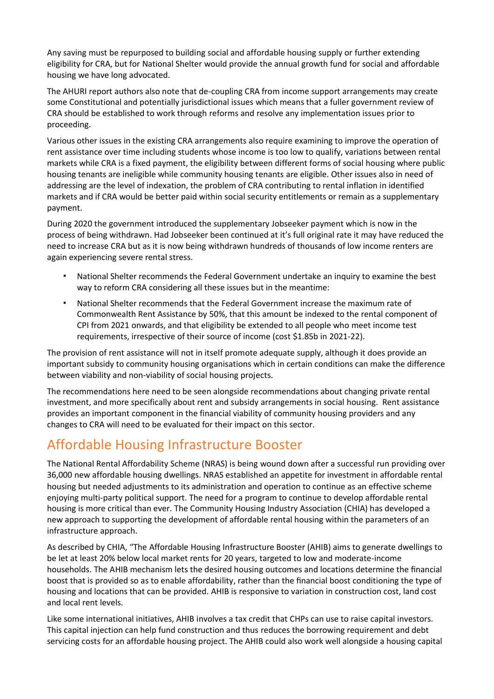Any saving must be repurposed to building social and affordable housing supply or further extending eligibility for CRA, but for National Shelter would provide the annual growth fund for social and affordable housing we have long advocated.

The AHURI report authors also note that de-coupling CRA from income support arrangements may create some Constitutional and potentially jurisdictional issues which means that a fuller government review of CRA should be established to work through reforms and resolve any implementation issues prior to proceeding.

Various other issues in the existing CRA arrangements also require examining to improve the operation of rent assistance over time including students whose income is too low to qualify, variations between rental markets while CRA is a fixed payment, the eligibility between different forms of social housing where public housing tenants are ineligible while community housing tenants are eligible. Other issues also in need of addressing are the level of indexation, the problem of CRA contributing to rental inflation in identified markets and if CRA would be better paid within social security entitlements or remain as a supplementary payment.

During 2020 the government introduced the supplementary Jobseeker payment which is now in the process of being withdrawn. Had Jobseeker been continued at it's full original rate it may have reduced the need to increase CRA but as it is now being withdrawn hundreds of thousands of low income renters are again experiencing severe rental stress.

- National Shelter recommends the Federal Government undertake an inquiry to examine the best way to reform CRA considering all these issues but in the meantime:
- National Shelter recommends that the Federal Government increase the maximum rate of Commonwealth Rent Assistance by 50%, that this amount be indexed to the rental component of CPI from 2021 onwards, and that eligibility be extended to all people who meet income test requirements, irrespective of their source of income (cost \$1.85b in 2021-22).

The provision of rent assistance will not in itself promote adequate supply, although it does provide an important subsidy to community housing organisations which in certain conditions can make the difference between viability and non-viability of social housing projects.

The recommendations here need to be seen alongside recommendations about changing private rental investment, and more specifically about rent and subsidy arrangements in social housing. Rent assistance provides an important component in the financial viability of community housing providers and any changes to CRA will need to be evaluated for their impact on this sector.

# Affordable Housing Infrastructure Booster

The National Rental Affordability Scheme (NRAS) is being wound down after a successful run providing over 36,000 new affordable housing dwellings. NRAS established an appetite for investment in affordable rental housing but needed adjustments to its administration and operation to continue as an effective scheme enjoying multi-party political support. The need for a program to continue to develop affordable rental housing is more critical than ever. The Community Housing Industry Association (CHIA) has developed a new approach to supporting the development of affordable rental housing within the parameters of an infrastructure approach.

<span id="page-12-0"></span>As described by CHIA, "The Affordable Housing Infrastructure Booster (AHIB) aims to generate dwellings to be let at least 20% below local market rents for 20 years, targeted to low and moderate-income households. The AHIB mechanism lets the desired housing outcomes and locations determine the financial boost that is provided so as to enable affordability, rather than the financial boost conditioning the type of housing and locations that can be provided. AHIB is responsive to variation in construction cost, land cost and local rent levels.

Like some international initiatives, AHIB involves a tax credit that CHPs can use to raise capital investors. This capital injection can help fund construction and thus reduces the borrowing requirement and debt servicing costs for an affordable housing project. The AHIB could also work well alongside a housing capital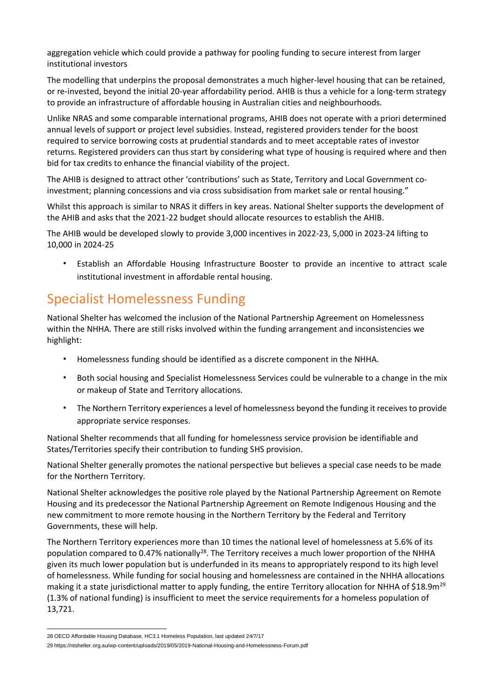aggregation vehicle which could provide a pathway for pooling funding to secure interest from larger institutional investors

The modelling that underpins the proposal demonstrates a much higher-level housing that can be retained, or re-invested, beyond the initial 20-year affordability period. AHIB is thus a vehicle for a long-term strategy to provide an infrastructure of affordable housing in Australian cities and neighbourhoods.

Unlike NRAS and some comparable international programs, AHIB does not operate with a priori determined annual levels of support or project level subsidies. Instead, registered providers tender for the boost required to service borrowing costs at prudential standards and to meet acceptable rates of investor returns. Registered providers can thus start by considering what type of housing is required where and then bid for tax credits to enhance the financial viability of the project.

The AHIB is designed to attract other 'contributions' such as State, Territory and Local Government coinvestment; planning concessions and via cross subsidisation from market sale or rental housing."

Whilst this approach is similar to NRAS it differs in key areas. National Shelter supports the development of the AHIB and asks that the 2021-22 budget should allocate resources to establish the AHIB.

The AHIB would be developed slowly to provide 3,000 incentives in 2022-23, 5,000 in 2023-24 lifting to 10,000 in 2024-25

Establish an Affordable Housing Infrastructure Booster to provide an incentive to attract scale institutional investment in affordable rental housing.

# Specialist Homelessness Funding

National Shelter has welcomed the inclusion of the National Partnership Agreement on Homelessness within the NHHA. There are still risks involved within the funding arrangement and inconsistencies we highlight:

- Homelessness funding should be identified as a discrete component in the NHHA.
- Both social housing and Specialist Homelessness Services could be vulnerable to a change in the mix or makeup of State and Territory allocations.
- The Northern Territory experiences a level of homelessness beyond the funding it receives to provide appropriate service responses.

National Shelter recommends that all funding for homelessness service provision be identifiable and States/Territories specify their contribution to funding SHS provision.

National Shelter generally promotes the national perspective but believes a special case needs to be made for the Northern Territory.

National Shelter acknowledges the positive role played by the National Partnership Agreement on Remote Housing and its predecessor the National Partnership Agreement on Remote Indigenous Housing and the new commitment to more remote housing in the Northern Territory by the Federal and Territory Governments, these will help.

The Northern Territory experiences more than 10 times the national level of homelessness at 5.6% of its population compared to 0.47% nationally<sup>28</sup>. The Territory receives a much lower proportion of the NHHA given its much lower population but is underfunded in its means to appropriately respond to its high level of homelessness. While funding for social housing and homelessness are contained in the NHHA allocations making it a state jurisdictional matter to apply funding, the entire Territory allocation for NHHA of \$18.9m<sup>29</sup> (1.3% of national funding) is insufficient to meet the service requirements for a homeless population of 13,721.

<sup>28</sup> OECD Affordable Housing Database, HC3.1 Homeless Population, last updated 24/7/17

<sup>29</sup> https://ntshelter.org.au/wp-content/uploads/2019/05/2019-National-Housing-and-Homelessness-Forum.pdf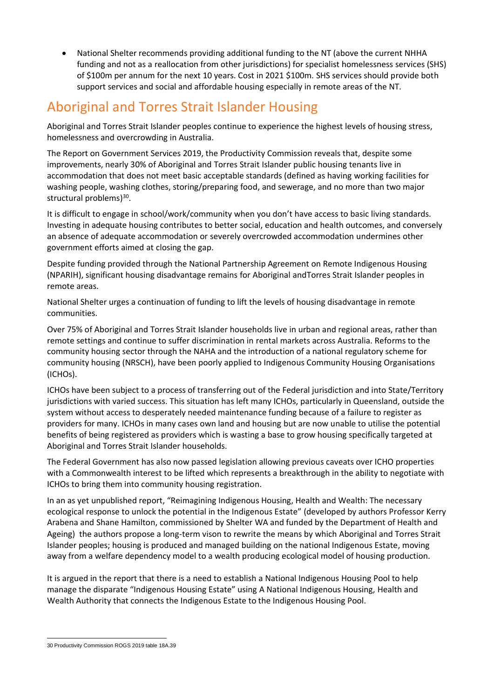• National Shelter recommends providing additional funding to the NT (above the current NHHA funding and not as a reallocation from other jurisdictions) for specialist homelessness services (SHS) of \$100m per annum for the next 10 years. Cost in 2021 \$100m. SHS services should provide both support services and social and affordable housing especially in remote areas of the NT.

# <span id="page-14-0"></span>Aboriginal and Torres Strait Islander Housing

Aboriginal and Torres Strait Islander peoples continue to experience the highest levels of housing stress, homelessness and overcrowding in Australia.

The Report on Government Services 2019, the Productivity Commission reveals that, despite some improvements, nearly 30% of Aboriginal and Torres Strait Islander public housing tenants live in accommodation that does not meet basic acceptable standards (defined as having working facilities for washing people, washing clothes, storing/preparing food, and sewerage, and no more than two major structural problems)<sup>30</sup>.

It is difficult to engage in school/work/community when you don't have access to basic living standards. Investing in adequate housing contributes to better social, education and health outcomes, and conversely an absence of adequate accommodation or severely overcrowded accommodation undermines other government efforts aimed at closing the gap.

Despite funding provided through the National Partnership Agreement on Remote Indigenous Housing (NPARIH), significant housing disadvantage remains for Aboriginal andTorres Strait Islander peoples in remote areas.

National Shelter urges a continuation of funding to lift the levels of housing disadvantage in remote communities.

Over 75% of Aboriginal and Torres Strait Islander households live in urban and regional areas, rather than remote settings and continue to suffer discrimination in rental markets across Australia. Reforms to the community housing sector through the NAHA and the introduction of a national regulatory scheme for community housing (NRSCH), have been poorly applied to Indigenous Community Housing Organisations (ICHOs).

ICHOs have been subject to a process of transferring out of the Federal jurisdiction and into State/Territory jurisdictions with varied success. This situation has left many ICHOs, particularly in Queensland, outside the system without access to desperately needed maintenance funding because of a failure to register as providers for many. ICHOs in many cases own land and housing but are now unable to utilise the potential benefits of being registered as providers which is wasting a base to grow housing specifically targeted at Aboriginal and Torres Strait Islander households.

The Federal Government has also now passed legislation allowing previous caveats over ICHO properties with a Commonwealth interest to be lifted which represents a breakthrough in the ability to negotiate with ICHOs to bring them into community housing registration.

In an as yet unpublished report, "Reimagining Indigenous Housing, Health and Wealth: The necessary ecological response to unlock the potential in the Indigenous Estate" (developed by authors Professor Kerry Arabena and Shane Hamilton, commissioned by Shelter WA and funded by the Department of Health and Ageing) the authors propose a long-term vison to rewrite the means by which Aboriginal and Torres Strait Islander peoples; housing is produced and managed building on the national Indigenous Estate, moving away from a welfare dependency model to a wealth producing ecological model of housing production.

It is argued in the report that there is a need to establish a National Indigenous Housing Pool to help manage the disparate "Indigenous Housing Estate" using A National Indigenous Housing, Health and Wealth Authority that connects the Indigenous Estate to the Indigenous Housing Pool.

<sup>30</sup> Productivity Commission ROGS 2019 table 18A.39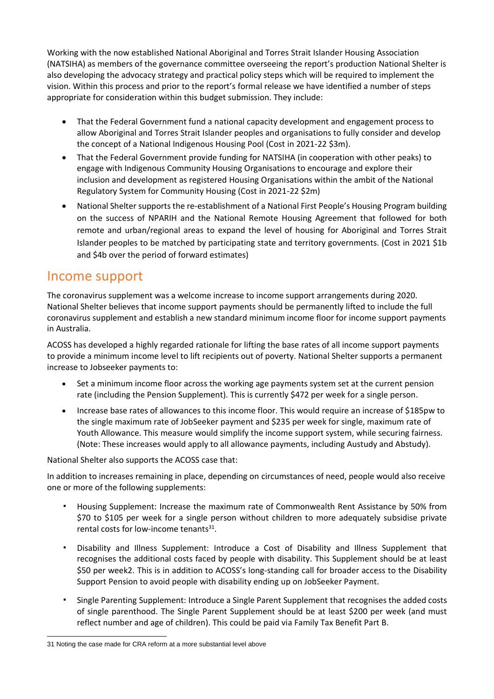Working with the now established National Aboriginal and Torres Strait Islander Housing Association (NATSIHA) as members of the governance committee overseeing the report's production National Shelter is also developing the advocacy strategy and practical policy steps which will be required to implement the vision. Within this process and prior to the report's formal release we have identified a number of steps appropriate for consideration within this budget submission. They include:

- That the Federal Government fund a national capacity development and engagement process to allow Aboriginal and Torres Strait Islander peoples and organisations to fully consider and develop the concept of a National Indigenous Housing Pool (Cost in 2021-22 \$3m).
- That the Federal Government provide funding for NATSIHA (in cooperation with other peaks) to engage with Indigenous Community Housing Organisations to encourage and explore their inclusion and development as registered Housing Organisations within the ambit of the National Regulatory System for Community Housing (Cost in 2021-22 \$2m)
- National Shelter supports the re-establishment of a National First People's Housing Program building on the success of NPARIH and the National Remote Housing Agreement that followed for both remote and urban/regional areas to expand the level of housing for Aboriginal and Torres Strait Islander peoples to be matched by participating state and territory governments. (Cost in 2021 \$1b and \$4b over the period of forward estimates)

## Income support

The coronavirus supplement was a welcome increase to income support arrangements during 2020. National Shelter believes that income support payments should be permanently lifted to include the full coronavirus supplement and establish a new standard minimum income floor for income support payments in Australia.

ACOSS has developed a highly regarded rationale for lifting the base rates of all income support payments to provide a minimum income level to lift recipients out of poverty. National Shelter supports a permanent increase to Jobseeker payments to:

- Set a minimum income floor across the working age payments system set at the current pension rate (including the Pension Supplement). This is currently \$472 per week for a single person.
- Increase base rates of allowances to this income floor. This would require an increase of \$185pw to the single maximum rate of JobSeeker payment and \$235 per week for single, maximum rate of Youth Allowance. This measure would simplify the income support system, while securing fairness. (Note: These increases would apply to all allowance payments, including Austudy and Abstudy).

National Shelter also supports the ACOSS case that:

In addition to increases remaining in place, depending on circumstances of need, people would also receive one or more of the following supplements:

- Housing Supplement: Increase the maximum rate of Commonwealth Rent Assistance by 50% from \$70 to \$105 per week for a single person without children to more adequately subsidise private rental costs for low-income tenants<sup>31</sup>.
- Disability and Illness Supplement: Introduce a Cost of Disability and Illness Supplement that recognises the additional costs faced by people with disability. This Supplement should be at least \$50 per week2. This is in addition to ACOSS's long-standing call for broader access to the Disability Support Pension to avoid people with disability ending up on JobSeeker Payment.
- Single Parenting Supplement: Introduce a Single Parent Supplement that recognises the added costs of single parenthood. The Single Parent Supplement should be at least \$200 per week (and must reflect number and age of children). This could be paid via Family Tax Benefit Part B.

<sup>31</sup> Noting the case made for CRA reform at a more substantial level above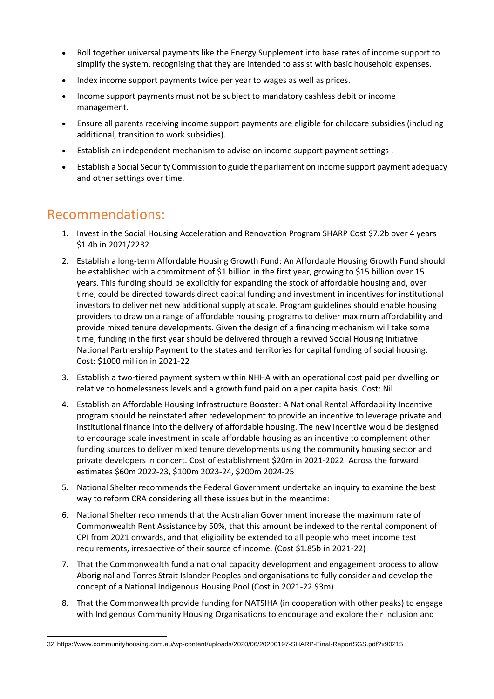- Roll together universal payments like the Energy Supplement into base rates of income support to simplify the system, recognising that they are intended to assist with basic household expenses.
- Index income support payments twice per year to wages as well as prices.
- Income support payments must not be subject to mandatory cashless debit or income management.
- Ensure all parents receiving income support payments are eligible for childcare subsidies (including additional, transition to work subsidies).
- Establish an independent mechanism to advise on income support payment settings .
- Establish a Social Security Commission to guide the parliament on income support payment adequacy and other settings over time.

## <span id="page-16-0"></span>Recommendations:

- 1. Invest in the Social Housing Acceleration and Renovation Program SHARP Cost \$7.2b over 4 years \$1.4b in 2021/2232
- 2. Establish a long-term Affordable Housing Growth Fund: An Affordable Housing Growth Fund should be established with a commitment of \$1 billion in the first year, growing to \$15 billion over 15 years. This funding should be explicitly for expanding the stock of affordable housing and, over time, could be directed towards direct capital funding and investment in incentives for institutional investors to deliver net new additional supply at scale. Program guidelines should enable housing providers to draw on a range of affordable housing programs to deliver maximum affordability and provide mixed tenure developments. Given the design of a financing mechanism will take some time, funding in the first year should be delivered through a revived Social Housing Initiative National Partnership Payment to the states and territories for capital funding of social housing. Cost: \$1000 million in 2021-22
- 3. Establish a two-tiered payment system within NHHA with an operational cost paid per dwelling or relative to homelessness levels and a growth fund paid on a per capita basis. Cost: Nil
- 4. Establish an Affordable Housing Infrastructure Booster: A National Rental Affordability Incentive program should be reinstated after redevelopment to provide an incentive to leverage private and institutional finance into the delivery of affordable housing. The new incentive would be designed to encourage scale investment in scale affordable housing as an incentive to complement other funding sources to deliver mixed tenure developments using the community housing sector and private developers in concert. Cost of establishment \$20m in 2021-2022. Across the forward estimates \$60m 2022-23, \$100m 2023-24, \$200m 2024-25
- 5. National Shelter recommends the Federal Government undertake an inquiry to examine the best way to reform CRA considering all these issues but in the meantime:
- 6. National Shelter recommends that the Australian Government increase the maximum rate of Commonwealth Rent Assistance by 50%, that this amount be indexed to the rental component of CPI from 2021 onwards, and that eligibility be extended to all people who meet income test requirements, irrespective of their source of income. (Cost \$1.85b in 2021-22)
- 7. That the Commonwealth fund a national capacity development and engagement process to allow Aboriginal and Torres Strait Islander Peoples and organisations to fully consider and develop the concept of a National Indigenous Housing Pool (Cost in 2021-22 \$3m)
- 8. That the Commonwealth provide funding for NATSIHA (in cooperation with other peaks) to engage with Indigenous Community Housing Organisations to encourage and explore their inclusion and

<sup>32</sup> https://www.communityhousing.com.au/wp-content/uploads/2020/06/20200197-SHARP-Final-ReportSGS.pdf?x90215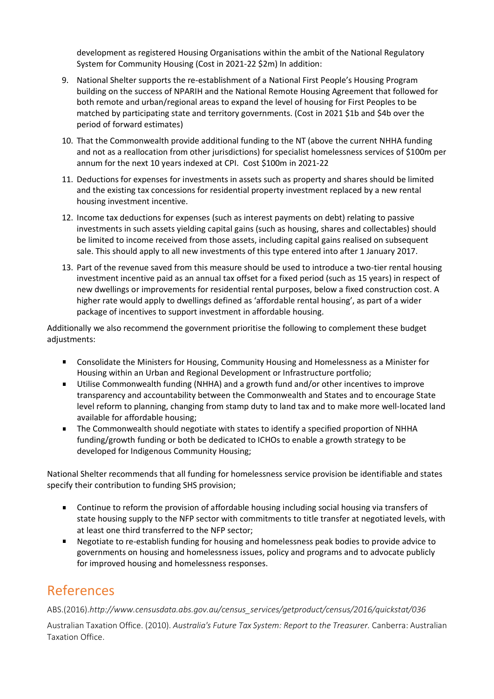development as registered Housing Organisations within the ambit of the National Regulatory System for Community Housing (Cost in 2021-22 \$2m) In addition:

- 9. National Shelter supports the re-establishment of a National First People's Housing Program building on the success of NPARIH and the National Remote Housing Agreement that followed for both remote and urban/regional areas to expand the level of housing for First Peoples to be matched by participating state and territory governments. (Cost in 2021 \$1b and \$4b over the period of forward estimates)
- 10. That the Commonwealth provide additional funding to the NT (above the current NHHA funding and not as a reallocation from other jurisdictions) for specialist homelessness services of \$100m per annum for the next 10 years indexed at CPI. Cost \$100m in 2021-22
- 11. Deductions for expenses for investments in assets such as property and shares should be limited and the existing tax concessions for residential property investment replaced by a new rental housing investment incentive.
- 12. Income tax deductions for expenses (such as interest payments on debt) relating to passive investments in such assets yielding capital gains (such as housing, shares and collectables) should be limited to income received from those assets, including capital gains realised on subsequent sale. This should apply to all new investments of this type entered into after 1 January 2017.
- 13. Part of the revenue saved from this measure should be used to introduce a two-tier rental housing investment incentive paid as an annual tax offset for a fixed period (such as 15 years) in respect of new dwellings or improvements for residential rental purposes, below a fixed construction cost. A higher rate would apply to dwellings defined as 'affordable rental housing', as part of a wider package of incentives to support investment in affordable housing.

Additionally we also recommend the government prioritise the following to complement these budget adjustments:

- Consolidate the Ministers for Housing, Community Housing and Homelessness as a Minister for  $\mathbf{R}^{\mathrm{max}}$ Housing within an Urban and Regional Development or Infrastructure portfolio;
- $\blacksquare$ Utilise Commonwealth funding (NHHA) and a growth fund and/or other incentives to improve transparency and accountability between the Commonwealth and States and to encourage State level reform to planning, changing from stamp duty to land tax and to make more well-located land available for affordable housing;
- The Commonwealth should negotiate with states to identify a specified proportion of NHHA funding/growth funding or both be dedicated to ICHOs to enable a growth strategy to be developed for Indigenous Community Housing;

National Shelter recommends that all funding for homelessness service provision be identifiable and states specify their contribution to funding SHS provision;

- $\mathbf{H}^{\text{max}}$ Continue to reform the provision of affordable housing including social housing via transfers of state housing supply to the NFP sector with commitments to title transfer at negotiated levels, with at least one third transferred to the NFP sector;
- Negotiate to re-establish funding for housing and homelessness peak bodies to provide advice to  $\mathbf{u}$ governments on housing and homelessness issues, policy and programs and to advocate publicly for improved housing and homelessness responses.

# <span id="page-17-0"></span>References

ABS.(2016).*http://www.censusdata.abs.gov.au/census\_services/getproduct/census/2016/quickstat/036*

Australian Taxation Office. (2010). *Australia's Future Tax System: Report to the Treasurer.* Canberra: Australian Taxation Office.